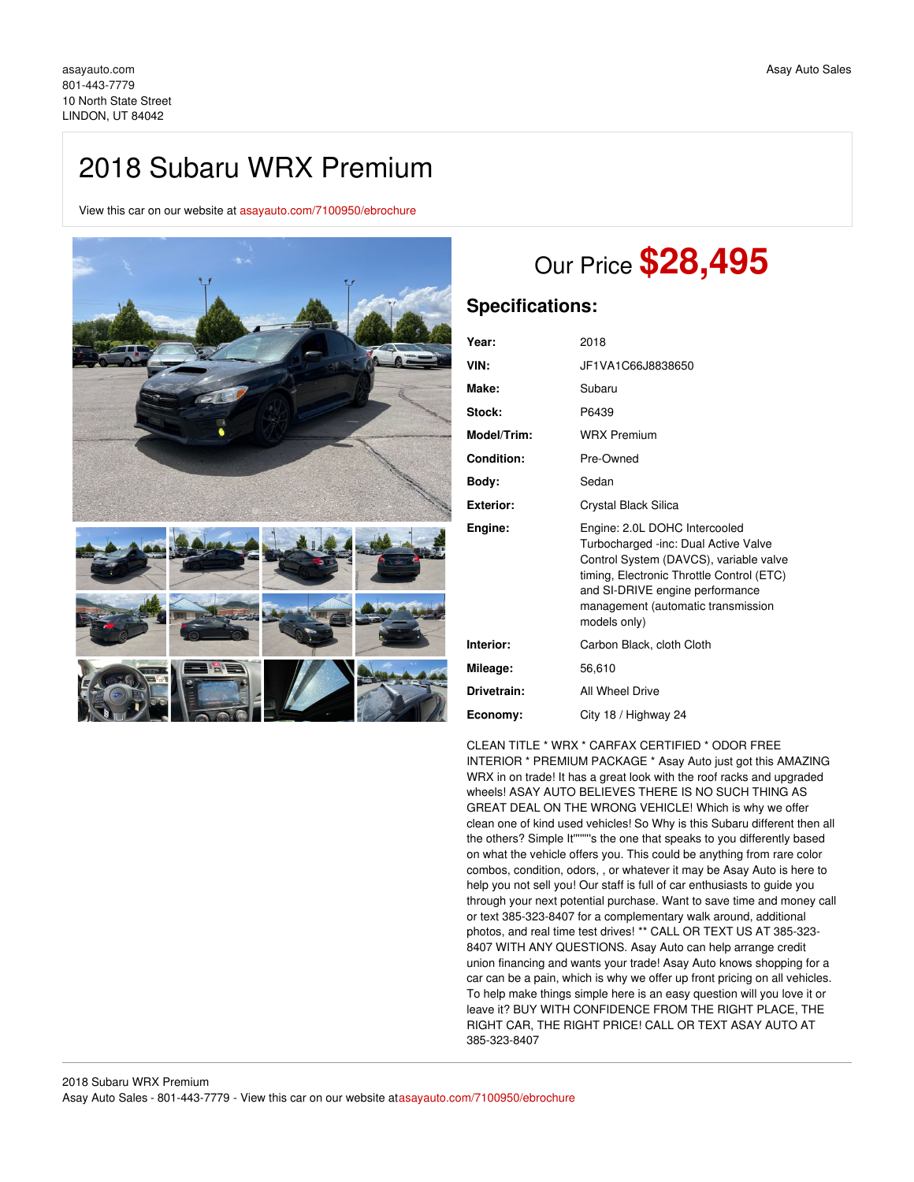# 2018 Subaru WRX Premium

View this car on our website at [asayauto.com/7100950/ebrochure](https://asayauto.com/vehicle/7100950/2018-subaru-wrx-premium-lindon-ut-84042/7100950/ebrochure)



# Our Price **\$28,495**

# **Specifications:**

| Year:            | 2018                                                                                                                                                                                                                                                  |
|------------------|-------------------------------------------------------------------------------------------------------------------------------------------------------------------------------------------------------------------------------------------------------|
| VIN:             | JF1VA1C66J8838650                                                                                                                                                                                                                                     |
| Make:            | Subaru                                                                                                                                                                                                                                                |
| Stock:           | P6439                                                                                                                                                                                                                                                 |
| Model/Trim:      | <b>WRX Premium</b>                                                                                                                                                                                                                                    |
| Condition:       | Pre-Owned                                                                                                                                                                                                                                             |
| Body:            | Sedan                                                                                                                                                                                                                                                 |
| <b>Exterior:</b> | Crystal Black Silica                                                                                                                                                                                                                                  |
| Engine:          | Engine: 2.0L DOHC Intercooled<br>Turbocharged -inc: Dual Active Valve<br>Control System (DAVCS), variable valve<br>timing, Electronic Throttle Control (ETC)<br>and SI-DRIVE engine performance<br>management (automatic transmission<br>models only) |
| Interior:        | Carbon Black, cloth Cloth                                                                                                                                                                                                                             |
| Mileage:         | 56,610                                                                                                                                                                                                                                                |
| Drivetrain:      | All Wheel Drive                                                                                                                                                                                                                                       |
| Economy:         | City 18 / Highway 24                                                                                                                                                                                                                                  |

CLEAN TITLE \* WRX \* CARFAX CERTIFIED \* ODOR FREE INTERIOR \* PREMIUM PACKAGE \* Asay Auto just got this AMAZING WRX in on trade! It has a great look with the roof racks and upgraded wheels! ASAY AUTO BELIEVES THERE IS NO SUCH THING AS GREAT DEAL ON THE WRONG VEHICLE! Which is why we offer clean one of kind used vehicles! So Why is this Subaru different then all the others? Simple It''''''''s the one that speaks to you differently based on what the vehicle offers you. This could be anything from rare color combos, condition, odors, , or whatever it may be Asay Auto is here to help you not sell you! Our staff is full of car enthusiasts to guide you through your next potential purchase. Want to save time and money call or text 385-323-8407 for a complementary walk around, additional photos, and real time test drives! \*\* CALL OR TEXT US AT 385-323- 8407 WITH ANY QUESTIONS. Asay Auto can help arrange credit union financing and wants your trade! Asay Auto knows shopping for a car can be a pain, which is why we offer up front pricing on all vehicles. To help make things simple here is an easy question will you love it or leave it? BUY WITH CONFIDENCE FROM THE RIGHT PLACE, THE RIGHT CAR, THE RIGHT PRICE! CALL OR TEXT ASAY AUTO AT 385-323-8407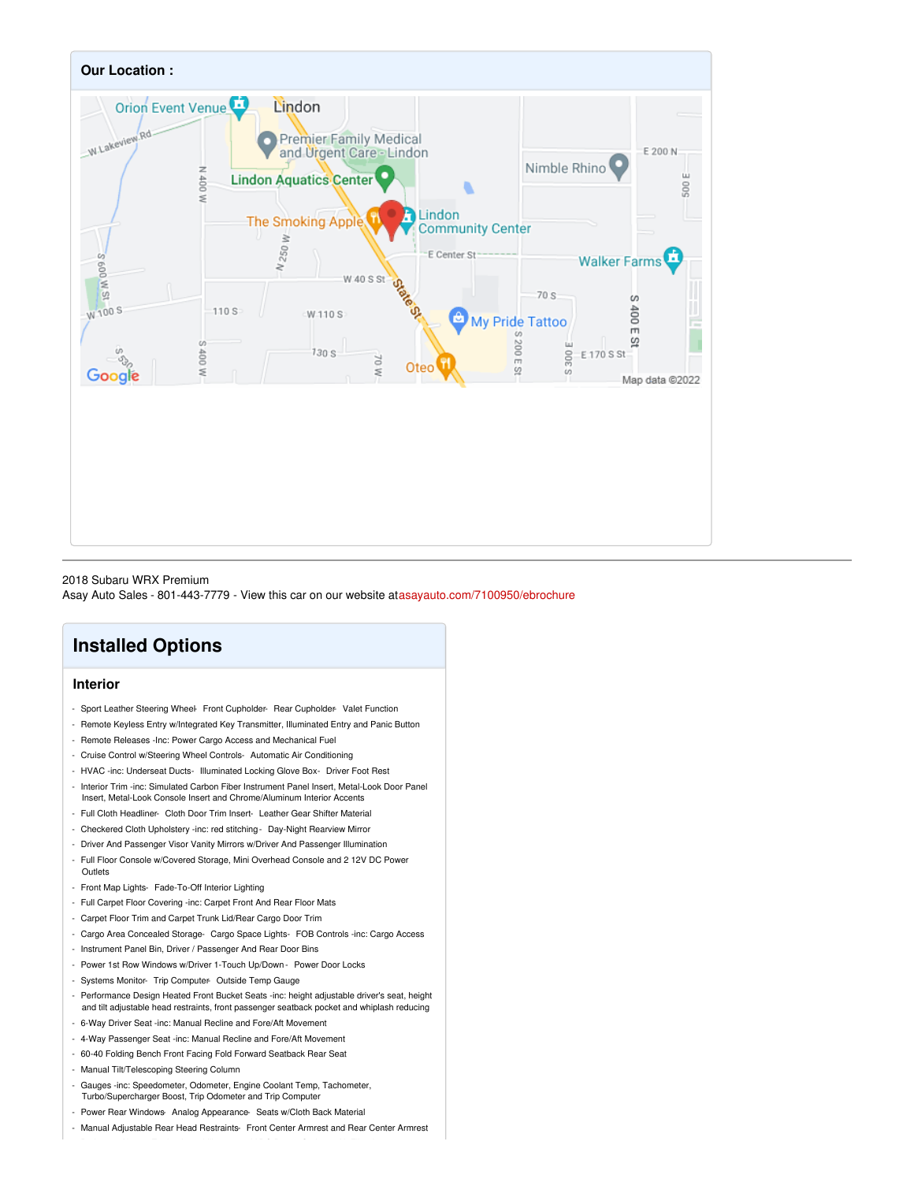

## 2018 Subaru WRX Premium

Asay Auto Sales - 801-443-7779 - View this car on our website at[asayauto.com/7100950/ebrochure](https://asayauto.com/vehicle/7100950/2018-subaru-wrx-premium-lindon-ut-84042/7100950/ebrochure)

# **Installed Options**

# **Interior**

- Sport Leather Steering Wheel- Front Cupholder- Rear Cupholder- Valet Function
- Remote Keyless Entry w/Integrated Key Transmitter, Illuminated Entry and Panic Button
- Remote Releases -Inc: Power Cargo Access and Mechanical Fuel
- Cruise Control w/Steering Wheel Controls- Automatic Air Conditioning
- HVAC -inc: Underseat Ducts- Illuminated Locking Glove Box- Driver Foot Rest
- Interior Trim -inc: Simulated Carbon Fiber Instrument Panel Insert, Metal-Look Door Panel Insert, Metal-Look Console Insert and Chrome/Aluminum Interior Accents
- Full Cloth Headliner- Cloth Door Trim Insert- Leather Gear Shifter Material
- Checkered Cloth Upholstery -inc: red stitching- Day-Night Rearview Mirror
- Driver And Passenger Visor Vanity Mirrors w/Driver And Passenger Illumination
- Full Floor Console w/Covered Storage, Mini Overhead Console and 2 12V DC Power **Outlets**
- Front Map Lights- Fade-To-Off Interior Lighting
- Full Carpet Floor Covering -inc: Carpet Front And Rear Floor Mats
- Carpet Floor Trim and Carpet Trunk Lid/Rear Cargo Door Trim
- Cargo Area Concealed Storage- Cargo Space Lights- FOB Controls -inc: Cargo Access
- Instrument Panel Bin, Driver / Passenger And Rear Door Bins
- Power 1st Row Windows w/Driver 1-Touch Up/Down Power Door Locks
- Systems Monitor- Trip Computer- Outside Temp Gauge
- Performance Design Heated Front Bucket Seats -inc: height adjustable driver's seat, height and tilt adjustable head restraints, front passenger seatback pocket and whiplash reducing
- 6-Way Driver Seat -inc: Manual Recline and Fore/Aft Movement
- 4-Way Passenger Seat -inc: Manual Recline and Fore/Aft Movement
- 60-40 Folding Bench Front Facing Fold Forward Seatback Rear Seat
- Manual Tilt/Telescoping Steering Column
- Gauges -inc: Speedometer, Odometer, Engine Coolant Temp, Tachometer, Turbo/Supercharger Boost, Trip Odometer and Trip Computer
- Power Rear Windows- Analog Appearance- Seats w/Cloth Back Material
- Manual Adjustable Rear Head Restraints- Front Center Armrest and Rear Center Armrest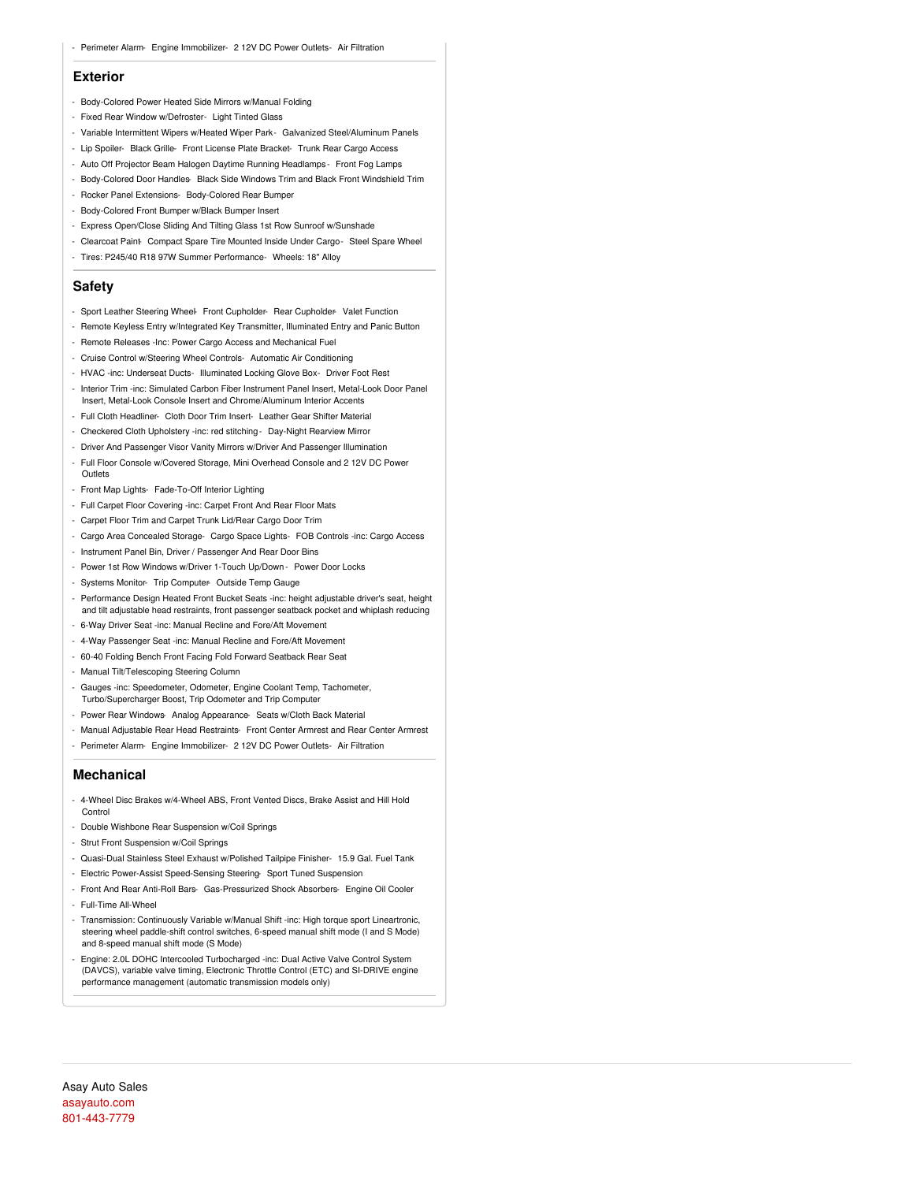### **Exterior**

- Body-Colored Power Heated Side Mirrors w/Manual Folding
- Fixed Rear Window w/Defroster- Light Tinted Glass
- Variable Intermittent Wipers w/Heated Wiper Park- Galvanized Steel/Aluminum Panels
- Lip Spoiler- Black Grille- Front License Plate Bracket- Trunk Rear Cargo Access
- Auto Off Projector Beam Halogen Daytime Running Headlamps Front Fog Lamps
- Body-Colored Door Handles- Black Side Windows Trim and Black Front Windshield Trim
- Rocker Panel Extensions- Body-Colored Rear Bumper
- Body-Colored Front Bumper w/Black Bumper Insert
- Express Open/Close Sliding And Tilting Glass 1st Row Sunroof w/Sunshade
- Clearcoat Paint- Compact Spare Tire Mounted Inside Under Cargo- Steel Spare Wheel
- Tires: P245/40 R18 97W Summer Performance- Wheels: 18" Alloy

## **Safety**

- Sport Leather Steering Wheel- Front Cupholder- Rear Cupholder- Valet Function
- Remote Keyless Entry w/Integrated Key Transmitter, Illuminated Entry and Panic Button
- Remote Releases -Inc: Power Cargo Access and Mechanical Fuel
- Cruise Control w/Steering Wheel Controls- Automatic Air Conditioning
- HVAC -inc: Underseat Ducts- Illuminated Locking Glove Box- Driver Foot Rest
- Interior Trim -inc: Simulated Carbon Fiber Instrument Panel Insert, Metal-Look Door Panel Insert, Metal-Look Console Insert and Chrome/Aluminum Interior Accents
- Full Cloth Headliner- Cloth Door Trim Insert- Leather Gear Shifter Material
- Checkered Cloth Upholstery -inc: red stitching- Day-Night Rearview Mirror
- Driver And Passenger Visor Vanity Mirrors w/Driver And Passenger Illumination
- Full Floor Console w/Covered Storage, Mini Overhead Console and 2 12V DC Power **Outlets**
- Front Map Lights- Fade-To-Off Interior Lighting
- Full Carpet Floor Covering -inc: Carpet Front And Rear Floor Mats
- Carpet Floor Trim and Carpet Trunk Lid/Rear Cargo Door Trim
- Cargo Area Concealed Storage- Cargo Space Lights- FOB Controls -inc: Cargo Access
- Instrument Panel Bin, Driver / Passenger And Rear Door Bins
- Power 1st Row Windows w/Driver 1-Touch Up/Down Power Door Locks
- Systems Monitor- Trip Computer- Outside Temp Gauge
- Performance Design Heated Front Bucket Seats -inc: height adjustable driver's seat, height and tilt adjustable head restraints, front passenger seatback pocket and whiplash reducing
- 6-Way Driver Seat -inc: Manual Recline and Fore/Aft Movement
- 4-Way Passenger Seat -inc: Manual Recline and Fore/Aft Movement
- 60-40 Folding Bench Front Facing Fold Forward Seatback Rear Seat
- Manual Tilt/Telescoping Steering Column
- Gauges -inc: Speedometer, Odometer, Engine Coolant Temp, Tachometer, Turbo/Supercharger Boost, Trip Odometer and Trip Computer
- Power Rear Windows- Analog Appearance- Seats w/Cloth Back Material
- Manual Adjustable Rear Head Restraints- Front Center Armrest and Rear Center Armrest
- Perimeter Alarm- Engine Immobilizer- 2 12V DC Power Outlets- Air Filtration

### **Mechanical**

- 4-Wheel Disc Brakes w/4-Wheel ABS, Front Vented Discs, Brake Assist and Hill Hold **Control**
- Double Wishbone Rear Suspension w/Coil Springs
- Strut Front Suspension w/Coil Springs
- Quasi-Dual Stainless Steel Exhaust w/Polished Tailpipe Finisher- 15.9 Gal. Fuel Tank
- Electric Power-Assist Speed-Sensing Steering- Sport Tuned Suspension
- Front And Rear Anti-Roll Bars- Gas-Pressurized Shock Absorbers- Engine Oil Cooler
- Full-Time All-Wheel
- Transmission: Continuously Variable w/Manual Shift -inc: High torque sport Lineartronic, steering wheel paddle-shift control switches, 6-speed manual shift mode (I and S Mode) and 8-speed manual shift mode (S Mode)
- Engine: 2.0L DOHC Intercooled Turbocharged -inc: Dual Active Valve Control System (DAVCS), variable valve timing, Electronic Throttle Control (ETC) and SI-DRIVE engine performance management (automatic transmission models only)